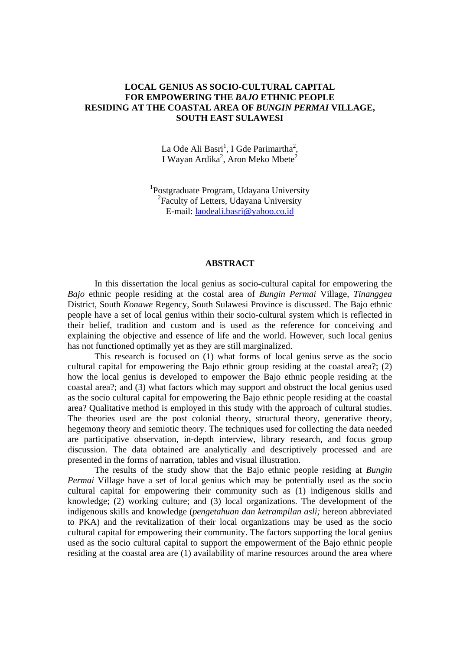# **LOCAL GENIUS AS SOCIO-CULTURAL CAPITAL FOR EMPOWERING THE** *BAJO* **ETHNIC PEOPLE RESIDING AT THE COASTAL AREA OF** *BUNGIN PERMAI* **VILLAGE, SOUTH EAST SULAWESI**

La Ode Ali Basri<sup>1</sup>, I Gde Parimartha<sup>2</sup>, I Wayan Ardika<sup>2</sup>, Aron Meko Mbete<sup>2</sup>

<sup>1</sup>Postgraduate Program, Udayana University 2 Faculty of Letters, Udayana University E-mail: laodeali.basri@yahoo.co.id

### **ABSTRACT**

 In this dissertation the local genius as socio-cultural capital for empowering the *Bajo* ethnic people residing at the costal area of *Bungin Permai* Village, *Tinanggea* District, South *Konawe* Regency, South Sulawesi Province is discussed. The Bajo ethnic people have a set of local genius within their socio-cultural system which is reflected in their belief, tradition and custom and is used as the reference for conceiving and explaining the objective and essence of life and the world. However, such local genius has not functioned optimally yet as they are still marginalized.

 This research is focused on (1) what forms of local genius serve as the socio cultural capital for empowering the Bajo ethnic group residing at the coastal area?; (2) how the local genius is developed to empower the Bajo ethnic people residing at the coastal area?; and (3) what factors which may support and obstruct the local genius used as the socio cultural capital for empowering the Bajo ethnic people residing at the coastal area? Qualitative method is employed in this study with the approach of cultural studies. The theories used are the post colonial theory, structural theory, generative theory, hegemony theory and semiotic theory. The techniques used for collecting the data needed are participative observation, in-depth interview, library research, and focus group discussion. The data obtained are analytically and descriptively processed and are presented in the forms of narration, tables and visual illustration.

 The results of the study show that the Bajo ethnic people residing at *Bungin Permai* Village have a set of local genius which may be potentially used as the socio cultural capital for empowering their community such as (1) indigenous skills and knowledge; (2) working culture; and (3) local organizations. The development of the indigenous skills and knowledge (*pengetahuan dan ketrampilan asli;* hereon abbreviated to PKA) and the revitalization of their local organizations may be used as the socio cultural capital for empowering their community. The factors supporting the local genius used as the socio cultural capital to support the empowerment of the Bajo ethnic people residing at the coastal area are (1) availability of marine resources around the area where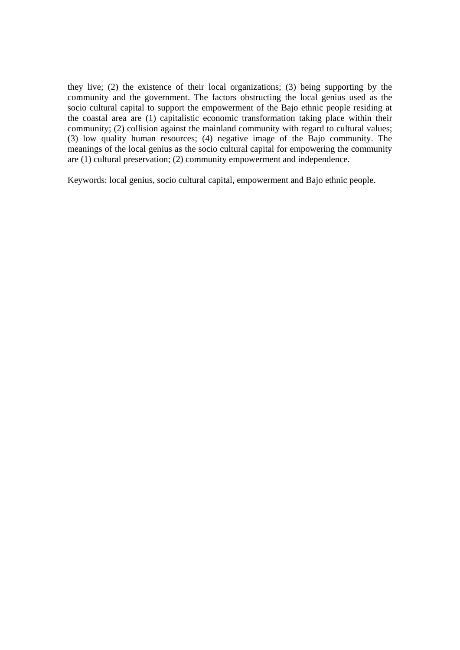they live; (2) the existence of their local organizations; (3) being supporting by the community and the government. The factors obstructing the local genius used as the socio cultural capital to support the empowerment of the Bajo ethnic people residing at the coastal area are (1) capitalistic economic transformation taking place within their community; (2) collision against the mainland community with regard to cultural values; (3) low quality human resources; (4) negative image of the Bajo community. The meanings of the local genius as the socio cultural capital for empowering the community are (1) cultural preservation; (2) community empowerment and independence.

Keywords: local genius, socio cultural capital, empowerment and Bajo ethnic people.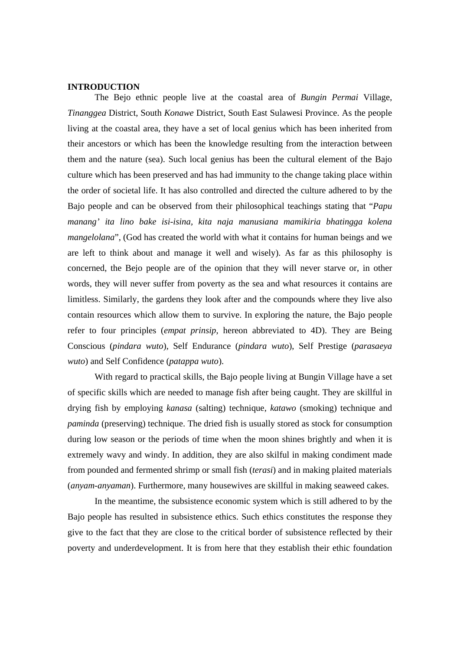### **INTRODUCTION**

 The Bejo ethnic people live at the coastal area of *Bungin Permai* Village, *Tinanggea* District, South *Konawe* District, South East Sulawesi Province. As the people living at the coastal area, they have a set of local genius which has been inherited from their ancestors or which has been the knowledge resulting from the interaction between them and the nature (sea). Such local genius has been the cultural element of the Bajo culture which has been preserved and has had immunity to the change taking place within the order of societal life. It has also controlled and directed the culture adhered to by the Bajo people and can be observed from their philosophical teachings stating that "*Papu manang' ita lino bake isi-isina, kita naja manusiana mamikiria bhatingga kolena mangelolana*", (God has created the world with what it contains for human beings and we are left to think about and manage it well and wisely). As far as this philosophy is concerned, the Bejo people are of the opinion that they will never starve or, in other words, they will never suffer from poverty as the sea and what resources it contains are limitless. Similarly, the gardens they look after and the compounds where they live also contain resources which allow them to survive. In exploring the nature, the Bajo people refer to four principles (*empat prinsip*, hereon abbreviated to 4D). They are Being Conscious (*pindara wuto*), Self Endurance (*pindara wuto*), Self Prestige (*parasaeya wuto*) and Self Confidence (*patappa wuto*).

 With regard to practical skills, the Bajo people living at Bungin Village have a set of specific skills which are needed to manage fish after being caught. They are skillful in drying fish by employing *kanasa* (salting) technique, *katawo* (smoking) technique and *paminda* (preserving) technique. The dried fish is usually stored as stock for consumption during low season or the periods of time when the moon shines brightly and when it is extremely wavy and windy. In addition, they are also skilful in making condiment made from pounded and fermented shrimp or small fish (*terasi*) and in making plaited materials (*anyam-anyaman*). Furthermore, many housewives are skillful in making seaweed cakes.

 In the meantime, the subsistence economic system which is still adhered to by the Bajo people has resulted in subsistence ethics. Such ethics constitutes the response they give to the fact that they are close to the critical border of subsistence reflected by their poverty and underdevelopment. It is from here that they establish their ethic foundation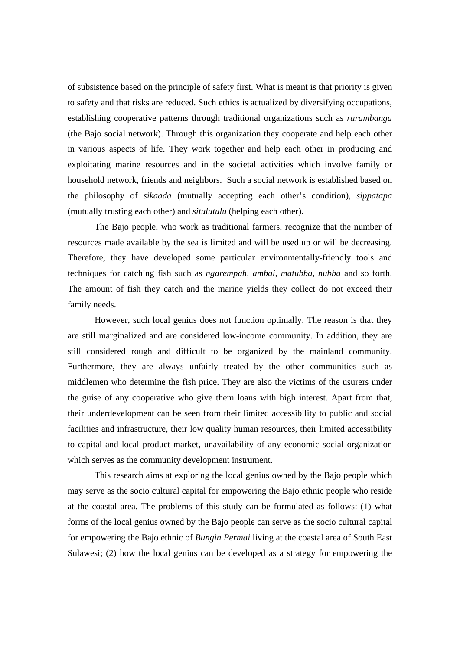of subsistence based on the principle of safety first. What is meant is that priority is given to safety and that risks are reduced. Such ethics is actualized by diversifying occupations, establishing cooperative patterns through traditional organizations such as *rarambanga* (the Bajo social network). Through this organization they cooperate and help each other in various aspects of life. They work together and help each other in producing and exploitating marine resources and in the societal activities which involve family or household network, friends and neighbors. Such a social network is established based on the philosophy of *sikaada* (mutually accepting each other's condition), *sippatapa* (mutually trusting each other) and *situlutulu* (helping each other).

 The Bajo people, who work as traditional farmers, recognize that the number of resources made available by the sea is limited and will be used up or will be decreasing. Therefore, they have developed some particular environmentally-friendly tools and techniques for catching fish such as *ngarempah, ambai, matubba, nubba* and so forth. The amount of fish they catch and the marine yields they collect do not exceed their family needs.

 However, such local genius does not function optimally. The reason is that they are still marginalized and are considered low-income community. In addition, they are still considered rough and difficult to be organized by the mainland community. Furthermore, they are always unfairly treated by the other communities such as middlemen who determine the fish price. They are also the victims of the usurers under the guise of any cooperative who give them loans with high interest. Apart from that, their underdevelopment can be seen from their limited accessibility to public and social facilities and infrastructure, their low quality human resources, their limited accessibility to capital and local product market, unavailability of any economic social organization which serves as the community development instrument.

 This research aims at exploring the local genius owned by the Bajo people which may serve as the socio cultural capital for empowering the Bajo ethnic people who reside at the coastal area. The problems of this study can be formulated as follows: (1) what forms of the local genius owned by the Bajo people can serve as the socio cultural capital for empowering the Bajo ethnic of *Bungin Permai* living at the coastal area of South East Sulawesi; (2) how the local genius can be developed as a strategy for empowering the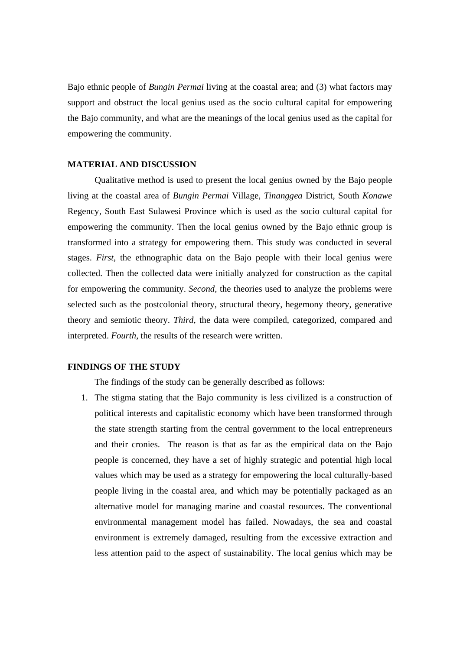Bajo ethnic people of *Bungin Permai* living at the coastal area; and (3) what factors may support and obstruct the local genius used as the socio cultural capital for empowering the Bajo community, and what are the meanings of the local genius used as the capital for empowering the community.

## **MATERIAL AND DISCUSSION**

 Qualitative method is used to present the local genius owned by the Bajo people living at the coastal area of *Bungin Permai* Village, *Tinanggea* District, South *Konawe* Regency, South East Sulawesi Province which is used as the socio cultural capital for empowering the community. Then the local genius owned by the Bajo ethnic group is transformed into a strategy for empowering them. This study was conducted in several stages. *First*, the ethnographic data on the Bajo people with their local genius were collected. Then the collected data were initially analyzed for construction as the capital for empowering the community. *Second*, the theories used to analyze the problems were selected such as the postcolonial theory, structural theory, hegemony theory, generative theory and semiotic theory. *Third*, the data were compiled, categorized, compared and interpreted. *Fourth*, the results of the research were written.

#### **FINDINGS OF THE STUDY**

The findings of the study can be generally described as follows:

1. The stigma stating that the Bajo community is less civilized is a construction of political interests and capitalistic economy which have been transformed through the state strength starting from the central government to the local entrepreneurs and their cronies. The reason is that as far as the empirical data on the Bajo people is concerned, they have a set of highly strategic and potential high local values which may be used as a strategy for empowering the local culturally-based people living in the coastal area, and which may be potentially packaged as an alternative model for managing marine and coastal resources. The conventional environmental management model has failed. Nowadays, the sea and coastal environment is extremely damaged, resulting from the excessive extraction and less attention paid to the aspect of sustainability. The local genius which may be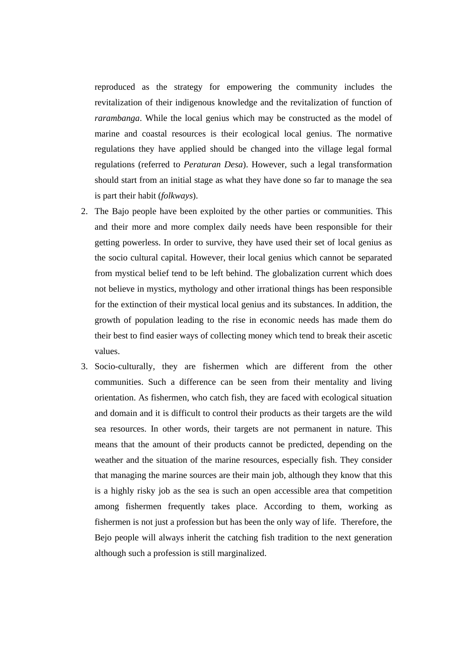reproduced as the strategy for empowering the community includes the revitalization of their indigenous knowledge and the revitalization of function of *rarambanga*. While the local genius which may be constructed as the model of marine and coastal resources is their ecological local genius. The normative regulations they have applied should be changed into the village legal formal regulations (referred to *Peraturan Desa*). However, such a legal transformation should start from an initial stage as what they have done so far to manage the sea is part their habit (*folkways*).

- 2. The Bajo people have been exploited by the other parties or communities. This and their more and more complex daily needs have been responsible for their getting powerless. In order to survive, they have used their set of local genius as the socio cultural capital. However, their local genius which cannot be separated from mystical belief tend to be left behind. The globalization current which does not believe in mystics, mythology and other irrational things has been responsible for the extinction of their mystical local genius and its substances. In addition, the growth of population leading to the rise in economic needs has made them do their best to find easier ways of collecting money which tend to break their ascetic values.
- 3. Socio-culturally, they are fishermen which are different from the other communities. Such a difference can be seen from their mentality and living orientation. As fishermen, who catch fish, they are faced with ecological situation and domain and it is difficult to control their products as their targets are the wild sea resources. In other words, their targets are not permanent in nature. This means that the amount of their products cannot be predicted, depending on the weather and the situation of the marine resources, especially fish. They consider that managing the marine sources are their main job, although they know that this is a highly risky job as the sea is such an open accessible area that competition among fishermen frequently takes place. According to them, working as fishermen is not just a profession but has been the only way of life. Therefore, the Bejo people will always inherit the catching fish tradition to the next generation although such a profession is still marginalized.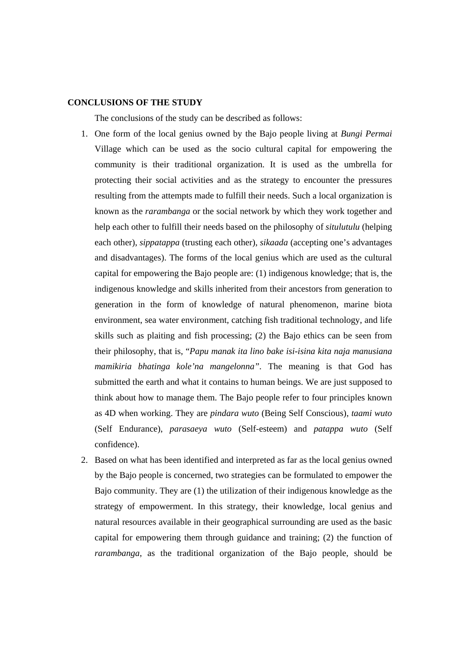### **CONCLUSIONS OF THE STUDY**

The conclusions of the study can be described as follows:

- 1. One form of the local genius owned by the Bajo people living at *Bungi Permai* Village which can be used as the socio cultural capital for empowering the community is their traditional organization. It is used as the umbrella for protecting their social activities and as the strategy to encounter the pressures resulting from the attempts made to fulfill their needs. Such a local organization is known as the *rarambanga* or the social network by which they work together and help each other to fulfill their needs based on the philosophy of *situlutulu* (helping each other), *sippatappa* (trusting each other), *sikaada* (accepting one's advantages and disadvantages). The forms of the local genius which are used as the cultural capital for empowering the Bajo people are: (1) indigenous knowledge; that is, the indigenous knowledge and skills inherited from their ancestors from generation to generation in the form of knowledge of natural phenomenon, marine biota environment, sea water environment, catching fish traditional technology, and life skills such as plaiting and fish processing; (2) the Bajo ethics can be seen from their philosophy, that is, "*Papu manak ita lino bake isi-isina kita naja manusiana mamikiria bhatinga kole'na mangelonna".* The meaning is that God has submitted the earth and what it contains to human beings. We are just supposed to think about how to manage them. The Bajo people refer to four principles known as 4D when working. They are *pindara wuto* (Being Self Conscious), *taami wuto* (Self Endurance), *parasaeya wuto* (Self-esteem) and *patappa wuto* (Self confidence).
- 2. Based on what has been identified and interpreted as far as the local genius owned by the Bajo people is concerned, two strategies can be formulated to empower the Bajo community. They are (1) the utilization of their indigenous knowledge as the strategy of empowerment. In this strategy, their knowledge, local genius and natural resources available in their geographical surrounding are used as the basic capital for empowering them through guidance and training; (2) the function of *rarambanga*, as the traditional organization of the Bajo people, should be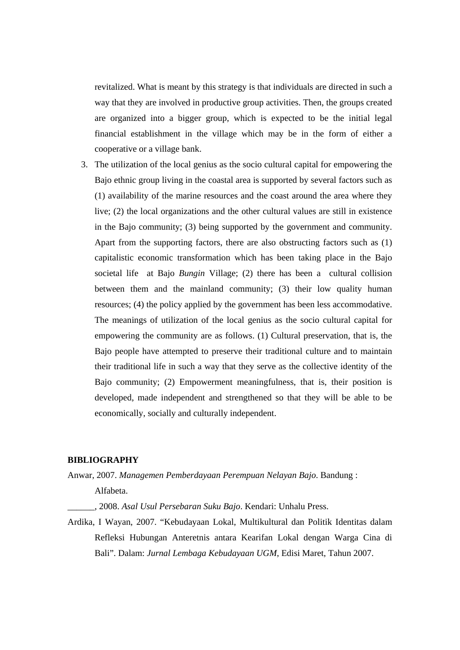revitalized. What is meant by this strategy is that individuals are directed in such a way that they are involved in productive group activities. Then, the groups created are organized into a bigger group, which is expected to be the initial legal financial establishment in the village which may be in the form of either a cooperative or a village bank.

3. The utilization of the local genius as the socio cultural capital for empowering the Bajo ethnic group living in the coastal area is supported by several factors such as (1) availability of the marine resources and the coast around the area where they live; (2) the local organizations and the other cultural values are still in existence in the Bajo community; (3) being supported by the government and community. Apart from the supporting factors, there are also obstructing factors such as (1) capitalistic economic transformation which has been taking place in the Bajo societal life at Bajo *Bungin* Village; (2) there has been a cultural collision between them and the mainland community; (3) their low quality human resources; (4) the policy applied by the government has been less accommodative. The meanings of utilization of the local genius as the socio cultural capital for empowering the community are as follows. (1) Cultural preservation, that is, the Bajo people have attempted to preserve their traditional culture and to maintain their traditional life in such a way that they serve as the collective identity of the Bajo community; (2) Empowerment meaningfulness, that is, their position is developed, made independent and strengthened so that they will be able to be economically, socially and culturally independent.

# **BIBLIOGRAPHY**

Anwar, 2007. *Managemen Pemberdayaan Perempuan Nelayan Bajo*. Bandung :

Alfabeta.

\_\_\_\_\_\_, 2008. *Asal Usul Persebaran Suku Bajo*. Kendari: Unhalu Press.

Ardika, I Wayan, 2007. "Kebudayaan Lokal, Multikultural dan Politik Identitas dalam Refleksi Hubungan Anteretnis antara Kearifan Lokal dengan Warga Cina di Bali". Dalam: *Jurnal Lembaga Kebudayaan UGM*, Edisi Maret, Tahun 2007.